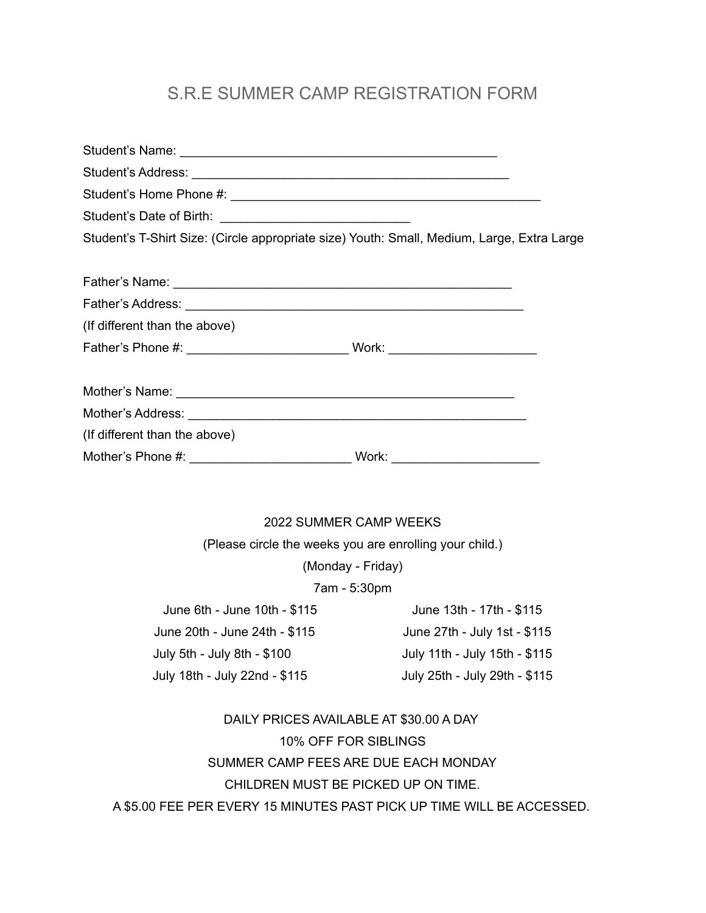## S.R.E SUMMER CAMP REGISTRATION FORM

| Student's T-Shirt Size: (Circle appropriate size) Youth: Small, Medium, Large, Extra Large |                                                         |
|--------------------------------------------------------------------------------------------|---------------------------------------------------------|
|                                                                                            |                                                         |
|                                                                                            |                                                         |
| (If different than the above)                                                              |                                                         |
|                                                                                            |                                                         |
|                                                                                            |                                                         |
|                                                                                            |                                                         |
| (If different than the above)                                                              |                                                         |
|                                                                                            |                                                         |
|                                                                                            | 2022 SUMMER CAMP WEEKS                                  |
|                                                                                            | (Please circle the weeks you are enrolling your child.) |
|                                                                                            | (Monday - Friday)                                       |
|                                                                                            | 7am - 5:30pm                                            |
| June 6th - June 10th - \$115                                                               | June 13th - 17th - \$115                                |

June 20th - June 24th - \$115 June 27th - July 1st - \$115 July 5th - July 8th - \$100 July 11th - July 15th - \$115 July 18th - July 22nd - \$115 July 25th - July 29th - \$115

DAILY PRICES AVAILABLE AT \$30.00 A DAY 10% OFF FOR SIBLINGS SUMMER CAMP FEES ARE DUE EACH MONDAY CHILDREN MUST BE PICKED UP ON TIME. A \$5.00 FEE PER EVERY 15 MINUTES PAST PICK UP TIME WILL BE ACCESSED.